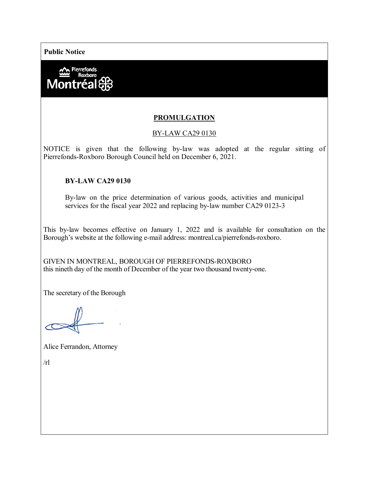**Public Notice**



# **PROMULGATION**

### BY-LAW CA29 0130

NOTICE is given that the following by-law was adopted at the regular sitting of Pierrefonds-Roxboro Borough Council held on December 6, 2021.

### **BY-LAW CA29 0130**

By-law on the price determination of various goods, activities and municipal services for the fiscal year 2022 and replacing by-law number CA29 0123-3

This by-law becomes effective on January 1, 2022 and is available for consultation on the Borough's website at the following e-mail address: montreal.ca/pierrefonds-roxboro.

GIVEN IN MONTREAL, BOROUGH OF PIERREFONDS-ROXBORO this nineth day of the month of December of the year two thousand twenty-one.

The secretary of the Borough

Alice Ferrandon, Attorney

 $/rl$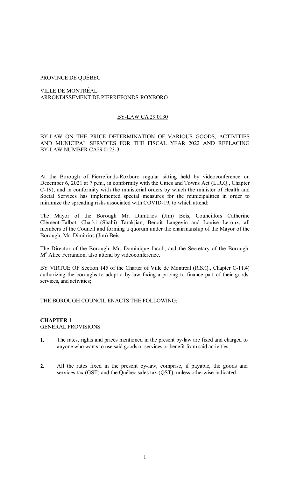### PROVINCE DE QUÉBEC

VILLE DE MONTRÉAL ARRONDISSEMENT DE PIERREFONDS-ROXBORO

# BY-LAW CA 29 0130

BY-LAW ON THE PRICE DETERMINATION OF VARIOUS GOODS, ACTIVITIES AND MUNICIPAL SERVICES FOR THE FISCAL YEAR 2022 AND REPLACING BY-LAW NUMBER CA29 0123-3

At the Borough of Pierrefonds-Roxboro regular sitting held by videoconference on December 6, 2021 at 7 p.m., in conformity with the Cities and Towns Act (L.R.Q., Chapter C-19), and in conformity with the ministerial orders by which the minister of Health and Social Services has implemented special measures for the municipalities in order to minimize the spreading risks associated with COVID-19, to which attend:

The Mayor of the Borough Mr. Dimitrios (Jim) Beis, Councillors Catherine Clément-Talbot, Charki (Shahi) Tarakjian, Benoit Langevin and Louise Leroux, all members of the Council and forming a quorum under the chairmanship of the Mayor of the Borough, Mr. Dimitrios (Jim) Beis.

The Director of the Borough, Mr. Dominique Jacob, and the Secretary of the Borough, M<sup>e</sup> Alice Ferrandon, also attend by videoconference.

BY VIRTUE OF Section 145 of the Charter of Ville de Montréal (R.S.Q., Chapter C-11.4) authorizing the boroughs to adopt a by-law fixing a pricing to finance part of their goods, services, and activities;

THE BOROUGH COUNCIL ENACTS THE FOLLOWING:

# **CHAPTER 1** GENERAL PROVISIONS

- **1.** The rates, rights and prices mentioned in the present by-law are fixed and charged to anyone who wants to use said goods or services or benefit from said activities.
- **2.** All the rates fixed in the present by-law, comprise, if payable, the goods and services tax (GST) and the Québec sales tax (QST), unless otherwise indicated.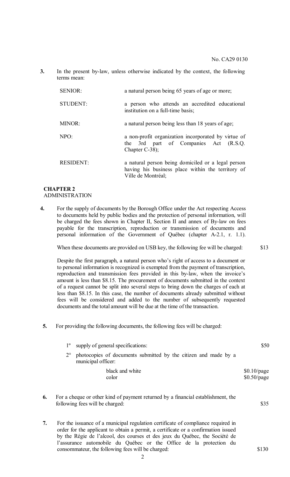**3.** In the present by-law, unless otherwise indicated by the context, the following terms mean:

| <b>SENIOR:</b>   | a natural person being 65 years of age or more;                                                                               |
|------------------|-------------------------------------------------------------------------------------------------------------------------------|
| STUDENT:         | a person who attends an accredited educational<br>institution on a full-time basis;                                           |
| MINOR:           | a natural person being less than 18 years of age;                                                                             |
| NPO:             | a non-profit organization incorporated by virtue of<br>the 3rd part of Companies Act (R.S.Q.<br>Chapter $C-38$ ;              |
| <b>RESIDENT:</b> | a natural person being domiciled or a legal person<br>having his business place within the territory of<br>Ville de Montréal; |

### **CHAPTER 2**  ADMINISTRATION

**4.** For the supply of documents by the Borough Office under the Act respecting Access to documents held by public bodies and the protection of personal information, will be charged the fees shown in Chapter II, Section II and annex of By-law on fees payable for the transcription, reproduction or transmission of documents and personal information of the Government of Québec (chapter A-2.1, r. 1.1).

When these documents are provided on USB key, the following fee will be charged: \$13

Despite the first paragraph, a natural person who's right of access to a document or to personal information is recognized is exempted from the payment of transcription, reproduction and transmission fees provided in this by-law, when the invoice's amount is less than \$8.15. The procurement of documents submitted in the context of a request cannot be split into several steps to bring down the charges of each at less than \$8.15. In this case, the number of documents already submitted without fees will be considered and added to the number of subsequently requested documents and the total amount will be due at the time of the transaction.

**5.** For providing the following documents, the following fees will be charged:

| $1^{\circ}$ | supply of general specifications:                                                     | \$50                           |
|-------------|---------------------------------------------------------------------------------------|--------------------------------|
| $2^{\circ}$ | photocopies of documents submitted by the citizen and made by a<br>municipal officer: |                                |
|             | black and white<br>color                                                              | $$0.10$ /page<br>$$0.50$ /page |

- **6.** For a cheque or other kind of payment returned by a financial establishment, the following fees will be charged:  $$35$
- **7.** For the issuance of a municipal regulation certificate of compliance required in order for the applicant to obtain a permit, a certificate or a confirmation issued by the Régie de l'alcool, des courses et des jeux du Québec, the Société de l'assurance automobile du Québec or the Office de la protection du consommateur, the following fees will be charged: \$130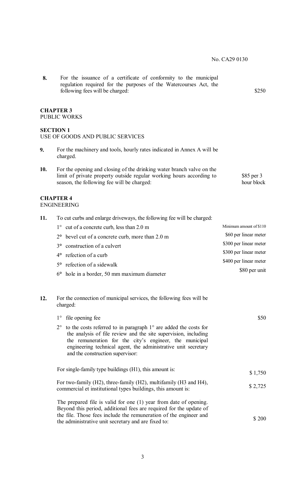\$85 per 3 hour block

**8.** For the issuance of a certificate of conformity to the municipal regulation required for the purposes of the Watercourses Act, the following fees will be charged:  $$250$ 

### **CHAPTER 3** PUBLIC WORKS

# **SECTION 1**

# USE OF GOODS AND PUBLIC SERVICES

- **9.** For the machinery and tools, hourly rates indicated in Annex A will be charged.
- **10.** For the opening and closing of the drinking water branch valve on the limit of private property outside regular working hours according to season, the following fee will be charged:

# **CHAPTER 4**

# ENGINEERING

**11.** To cut curbs and enlarge driveways, the following fee will be charged: 1° cut of a concrete curb, less than 2.0 m 2**°** bevel cut of a concrete curb, more than 2.0 m 3**°** construction of a culvert 4**°** refection of a curb 5**°** refection of a sidewalk 6**°** hole in a border, 50 mm maximum diameter Minimum amount of \$110 \$60 per linear meter \$300 per linear meter \$300 per linear meter \$400 per linear meter \$80 per unit

### **12.** For the connection of municipal services, the following fees will be charged:

| \$50    | file opening fee<br>$1^{\circ}$                                                                                                                                                                                                                                                                                              |
|---------|------------------------------------------------------------------------------------------------------------------------------------------------------------------------------------------------------------------------------------------------------------------------------------------------------------------------------|
|         | to the costs referred to in paragraph $1^{\circ}$ are added the costs for<br>$2^{\circ}$<br>the analysis of file review and the site supervision, including<br>the remuneration for the city's engineer, the municipal<br>engineering technical agent, the administrative unit secretary<br>and the construction supervisor: |
| \$1,750 | For single-family type buildings (H1), this amount is:                                                                                                                                                                                                                                                                       |
| \$2,725 | For two-family (H2), three-family (H2), multifamily (H3 and H4),<br>commercial et institutional types buildings, this amount is:                                                                                                                                                                                             |
| \$200   | The prepared file is valid for one (1) year from date of opening.<br>Beyond this period, additional fees are required for the update of<br>the file. Those fees include the remuneration of the engineer and<br>the administrative unit secretary and are fixed to:                                                          |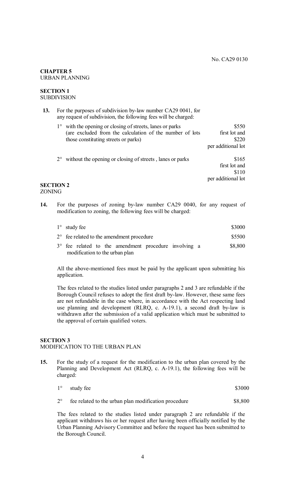### **CHAPTER 5** URBAN PLANNING

### **SECTION 1** SUBDIVISION

| 13. | For the purposes of subdivision by-law number CA29 0041, for<br>any request of subdivision, the following fees will be charged:                               |                                                       |
|-----|---------------------------------------------------------------------------------------------------------------------------------------------------------------|-------------------------------------------------------|
|     | 1° with the opening or closing of streets, lanes or parks<br>(are excluded from the calculation of the number of lots<br>those constituting streets or parks) | \$550<br>first lot and<br>\$220<br>per additional lot |
|     | $2^{\circ}$ without the opening or closing of streets, lanes or parks<br><b>SECTION 2</b>                                                                     | \$165<br>first lot and<br>\$110<br>per additional lot |

# ZONING

**14.** For the purposes of zoning by-law number CA29 0040, for any request of modification to zoning, the following fees will be charged:

| $1^{\circ}$ study fee                                                                            | \$3000  |
|--------------------------------------------------------------------------------------------------|---------|
| $2^{\circ}$ fee related to the amendment procedure                                               | \$5500  |
| $3^{\circ}$ fee related to the amendment procedure involving a<br>modification to the urban plan | \$8,800 |

All the above-mentioned fees must be paid by the applicant upon submitting his application.

The fees related to the studies listed under paragraphs 2 and 3 are refundable if the Borough Council refuses to adopt the first draft by-law. However, these same fees are not refundable in the case where, in accordance with the Act respecting land use planning and development (RLRQ, c. A-19.1), a second draft by-law is withdrawn after the submission of a valid application which must be submitted to the approval of certain qualified voters.

# **SECTION 3**

# MODIFICATION TO THE URBAN PLAN

**15.** For the study of a request for the modification to the urban plan covered by the Planning and Development Act (RLRQ, c. A-19.1), the following fees will be charged:

| $1^{\circ}$ | study fee                                            | \$3000  |
|-------------|------------------------------------------------------|---------|
| $2^{\circ}$ | fee related to the urban plan modification procedure | \$8,800 |

The fees related to the studies listed under paragraph 2 are refundable if the applicant withdraws his or her request after having been officially notified by the Urban Planning Advisory Committee and before the request has been submitted to the Borough Council.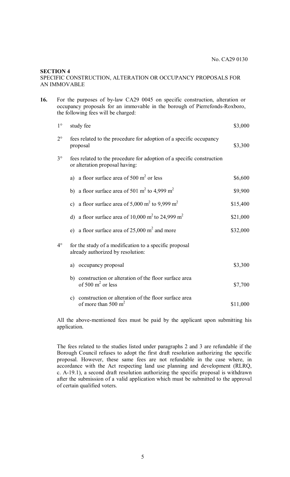#### **SECTION 4**

### SPECIFIC CONSTRUCTION, ALTERATION OR OCCUPANCY PROPOSALS FOR AN IMMOVABLE

| 16. |             | For the purposes of by-law CA29 0045 on specific construction, alteration or<br>occupancy proposals for an immovable in the borough of Pierrefonds-Roxboro,<br>the following fees will be charged: |          |
|-----|-------------|----------------------------------------------------------------------------------------------------------------------------------------------------------------------------------------------------|----------|
|     | $1^{\circ}$ | study fee                                                                                                                                                                                          | \$3,000  |
|     | $2^{\circ}$ | fees related to the procedure for adoption of a specific occupancy<br>proposal                                                                                                                     | \$3,300  |
|     | $3^\circ$   | fees related to the procedure for adoption of a specific construction<br>or alteration proposal having:                                                                                            |          |
|     |             | a) a floor surface area of 500 $m2$ or less                                                                                                                                                        | \$6,600  |
|     |             | b) a floor surface area of 501 m <sup>2</sup> to 4,999 m <sup>2</sup>                                                                                                                              | \$9,900  |
|     |             | c) a floor surface area of 5,000 $m2$ to 9,999 $m2$                                                                                                                                                | \$15,400 |
|     |             | d) a floor surface area of $10,000 \text{ m}^2$ to 24,999 m <sup>2</sup>                                                                                                                           | \$21,000 |
|     |             | e) a floor surface area of $25,000 \text{ m}^2$ and more                                                                                                                                           | \$32,000 |
|     | $4^\circ$   | for the study of a modification to a specific proposal<br>already authorized by resolution:                                                                                                        |          |
|     |             | a) occupancy proposal                                                                                                                                                                              | \$3,300  |
|     |             | b) construction or alteration of the floor surface area<br>of 500 $m^2$ or less                                                                                                                    | \$7,700  |
|     |             | construction or alteration of the floor surface area<br>$\mathbf{c})$<br>of more than 500 $m2$                                                                                                     | \$11,000 |

All the above-mentioned fees must be paid by the applicant upon submitting his application.

The fees related to the studies listed under paragraphs 2 and 3 are refundable if the Borough Council refuses to adopt the first draft resolution authorizing the specific proposal. However, these same fees are not refundable in the case where, in accordance with the Act respecting land use planning and development (RLRQ, c. A-19.1), a second draft resolution authorizing the specific proposal is withdrawn after the submission of a valid application which must be submitted to the approval of certain qualified voters.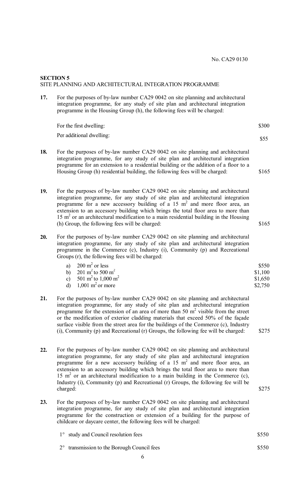# **SECTION 5** SITE PLANNING AND ARCHITECTURAL INTEGRATION PROGRAMME

**17.** For the purposes of by-law number CA29 0042 on site planning and architectural integration programme, for any study of site plan and architectural integration programme in the Housing Group (h), the following fees will be charged:

| For the first dwelling:  | \$300 |
|--------------------------|-------|
| Per additional dwelling: | \$55  |
|                          |       |

- **18.** For the purposes of by-law number CA29 0042 on site planning and architectural integration programme, for any study of site plan and architectural integration programme for an extension to a residential building or the addition of a floor to a Housing Group (h) residential building, the following fees will be charged: \$165
- **19.** For the purposes of by-law number CA29 0042 on site planning and architectural integration programme, for any study of site plan and architectural integration programme for a new accessory building of a 15  $m<sup>2</sup>$  and more floor area, an extension to an accessory building which brings the total floor area to more than  $15 \text{ m}^2$  or an architectural modification to a main residential building in the Housing (h) Group, the following fees will be charged: \$165
- **20.** For the purposes of by-law number CA29 0042 on site planning and architectural integration programme, for any study of site plan and architectural integration programme in the Commerce (c), Industry (i), Community (p) and Recreational Groups (r), the following fees will be charged:

| $200 \text{ m}^2$ or less                   | \$550   |
|---------------------------------------------|---------|
| b) $201 \text{ m}^2$ to 500 m <sup>2</sup>  | \$1,100 |
| c) $501 \text{ m}^2$ to $1,000 \text{ m}^2$ | \$1,650 |
| $1,001 \text{ m}^2$ or more                 | \$2,750 |

- **21.** For the purposes of by-law number CA29 0042 on site planning and architectural integration programme, for any study of site plan and architectural integration programme for the extension of an area of more than 50  $m<sup>2</sup>$  visible from the street or the modification of exterior cladding materials that exceed 50% of the façade surface visible from the street area for the buildings of the Commerce (c), Industry (i), Community (p) and Recreational (r) Groups, the following fee will be charged:  $$275$
- **22.** For the purposes of by-law number CA29 0042 on site planning and architectural integration programme, for any study of site plan and architectural integration programme for a new accessory building of a 15  $m<sup>2</sup>$  and more floor area, an extension to an accessory building which brings the total floor area to more than 15  $m<sup>2</sup>$  or an architectural modification to a main building in the Commerce (c), Industry (i), Community (p) and Recreational (r) Groups, the following fee will be charged: \$275
- **23.** For the purposes of by-law number CA29 0042 on site planning and architectural integration programme, for any study of site plan and architectural integration programme for the construction or extension of a building for the purpose of childcare or daycare center, the following fees will be charged:
	- 1° study and Council resolution fees
		- 2° transmission to the Borough Council fees

\$550

\$550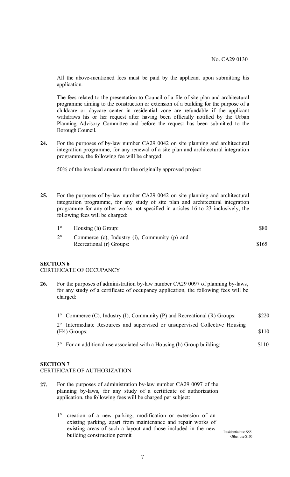All the above-mentioned fees must be paid by the applicant upon submitting his application.

The fees related to the presentation to Council of a file of site plan and architectural programme aiming to the construction or extension of a building for the purpose of a childcare or daycare center in residential zone are refundable if the applicant withdraws his or her request after having been officially notified by the Urban Planning Advisory Committee and before the request has been submitted to the Borough Council.

**24.** For the purposes of by-law number CA29 0042 on site planning and architectural integration programme, for any renewal of a site plan and architectural integration programme, the following fee will be charged:

50% of the invoiced amount for the originally approved project

**25.** For the purposes of by-law number CA29 0042 on site planning and architectural integration programme, for any study of site plan and architectural integration programme for any other works not specified in articles 16 to 23 inclusively, the following fees will be charged:

| $1^{\circ}$ | Housing (h) Group:                            | \$80  |
|-------------|-----------------------------------------------|-------|
|             | Commerce (c), Industry (i), Community (p) and |       |
|             | Recreational (r) Groups:                      | \$165 |

# **SECTION 6** CERTIFICATE OF OCCUPANCY

**26.** For the purposes of administration by-law number CA29 0097 of planning by-laws, for any study of a certificate of occupancy application, the following fees will be charged:

| $1^{\circ}$ Commerce (C), Industry (I), Community (P) and Recreational (R) Groups:            | \$220 |
|-----------------------------------------------------------------------------------------------|-------|
| 2° Intermediate Resources and supervised or unsupervised Collective Housing<br>$(H4)$ Groups: | \$110 |
| $3^{\circ}$ For an additional use associated with a Housing (h) Group building:               | \$110 |

# **SECTION 7**

CERTIFICATE OF AUTHORIZATION

- **27.** For the purposes of administration by-law number CA29 0097 of the planning by-laws, for any study of a certificate of authorization application, the following fees will be charged per subject:
	- 1° creation of a new parking, modification or extension of an existing parking, apart from maintenance and repair works of existing areas of such a layout and those included in the new building construction permit

 Residential use \$55 Other use \$105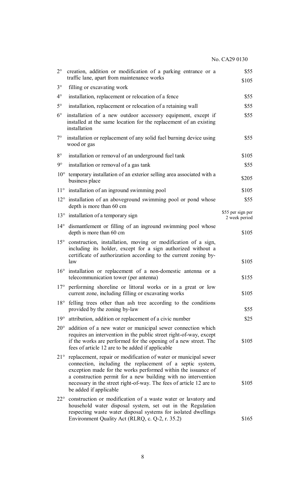| $2^{\circ}$  | creation, addition or modification of a parking entrance or a<br>traffic lane, apart from maintenance works                                                                                                                                                                                                                                                     | \$55<br>\$105                      |
|--------------|-----------------------------------------------------------------------------------------------------------------------------------------------------------------------------------------------------------------------------------------------------------------------------------------------------------------------------------------------------------------|------------------------------------|
| $3^\circ$    | filling or excavating work                                                                                                                                                                                                                                                                                                                                      |                                    |
| $4^{\circ}$  | installation, replacement or relocation of a fence                                                                                                                                                                                                                                                                                                              | \$55                               |
| $5^\circ$    | installation, replacement or relocation of a retaining wall                                                                                                                                                                                                                                                                                                     | \$55                               |
| $6^{\circ}$  | installation of a new outdoor accessory equipment, except if<br>installed at the same location for the replacement of an existing<br>installation                                                                                                                                                                                                               | \$55                               |
| $7^\circ$    | installation or replacement of any solid fuel burning device using<br>wood or gas                                                                                                                                                                                                                                                                               | \$55                               |
| $8^{\circ}$  | installation or removal of an underground fuel tank                                                                                                                                                                                                                                                                                                             | \$105                              |
| $9^\circ$    | installation or removal of a gas tank                                                                                                                                                                                                                                                                                                                           | \$55                               |
| $10^{\circ}$ | temporary installation of an exterior selling area associated with a<br>business place                                                                                                                                                                                                                                                                          | \$205                              |
|              | $11^{\circ}$ installation of an inground swimming pool                                                                                                                                                                                                                                                                                                          | \$105                              |
|              | $12^{\circ}$ installation of an aboveground swimming pool or pond whose<br>depth is more than 60 cm                                                                                                                                                                                                                                                             | \$55                               |
|              | $13^{\circ}$ installation of a temporary sign                                                                                                                                                                                                                                                                                                                   | \$55 per sign per<br>2 week period |
|              | 14° dismantlement or filling of an inground swimming pool whose<br>depth is more than 60 cm                                                                                                                                                                                                                                                                     | \$105                              |
| $15^{\circ}$ | construction, installation, moving or modification of a sign,<br>including its holder, except for a sign authorized without a<br>certificate of authorization according to the current zoning by-<br>law                                                                                                                                                        | \$105                              |
| $16^{\circ}$ | installation or replacement of a non-domestic antenna or a<br>telecommunication tower (per antenna)                                                                                                                                                                                                                                                             | \$155                              |
|              | 17° performing shoreline or littoral works or in a great or low<br>current zone, including filling or excavating works                                                                                                                                                                                                                                          | \$105                              |
| $18^{\circ}$ | felling trees other than ash tree according to the conditions<br>provided by the zoning by-law                                                                                                                                                                                                                                                                  | \$55                               |
| $19^{\circ}$ | attribution, addition or replacement of a civic number                                                                                                                                                                                                                                                                                                          | \$25                               |
| $20^{\circ}$ | addition of a new water or municipal sewer connection which<br>requires an intervention in the public street right-of-way, except<br>if the works are performed for the opening of a new street. The<br>fees of article 12 are to be added if applicable                                                                                                        | \$105                              |
| $21^{\circ}$ | replacement, repair or modification of water or municipal sewer<br>connection, including the replacement of a septic system,<br>exception made for the works performed within the issuance of<br>a construction permit for a new building with no intervention<br>necessary in the street right-of-way. The fees of article 12 are to<br>be added if applicable | \$105                              |
|              | 22° construction or modification of a waste water or lavatory and<br>household water disposal system, set out in the Regulation<br>respecting waste water disposal systems for isolated dwellings<br>Environment Quality Act (RLRQ, c. Q-2, r. 35.2)                                                                                                            | \$165                              |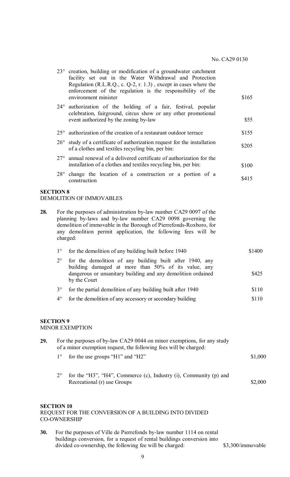|                   |              | 23° creation, building or modification of a groundwater catchment<br>facility set out in the Water Withdrawal and Protection<br>Regulation (R.L.R.Q., c. Q-2, r. 1.3), except in cases where the<br>enforcement of the regulation is the responsibility of the<br>environment minister | \$165   |
|-------------------|--------------|----------------------------------------------------------------------------------------------------------------------------------------------------------------------------------------------------------------------------------------------------------------------------------------|---------|
|                   |              | 24° authorization of the holding of a fair, festival, popular<br>celebration, fairground, circus show or any other promotional<br>event authorized by the zoning by-law                                                                                                                | \$55    |
|                   |              | $25^{\circ}$ authorization of the creation of a restaurant outdoor terrace                                                                                                                                                                                                             | \$155   |
|                   | $26^{\circ}$ | study of a certificate of authorization request for the installation<br>of a clothes and textiles recycling bin, per bin:                                                                                                                                                              | \$205   |
|                   | $27^{\circ}$ | annual renewal of a delivered certificate of authorization for the<br>installation of a clothes and textiles recycling bin, per bin:                                                                                                                                                   | \$100   |
|                   | $28^{\circ}$ | change the location of a construction or a portion of a<br>construction                                                                                                                                                                                                                | \$415   |
| <b>SECTION 8</b>  |              | <b>DEMOLITION OF IMMOVABLES</b>                                                                                                                                                                                                                                                        |         |
| 28.               | charged:     | For the purposes of administration by-law number CA29 0097 of the<br>planning by-laws and by-law number CA29 0098 governing the<br>demolition of immovable in the Borough of Pierrefonds-Roxboro, for<br>any demolition permit application, the following fees will be                 |         |
|                   | $1^{\circ}$  | for the demolition of any building built before 1940                                                                                                                                                                                                                                   | \$1400  |
|                   | $2^{\circ}$  | for the demolition of any building built after 1940, any<br>building damaged at more than 50% of its value, any<br>dangerous or unsanitary building and any demolition ordained<br>by the Court                                                                                        | \$425   |
|                   | $3^\circ$    | for the partial demolition of any building built after 1940                                                                                                                                                                                                                            | \$110   |
|                   | $4^{\circ}$  | for the demolition of any accessory or secondary building                                                                                                                                                                                                                              | \$110   |
| <b>SECTION 9</b>  |              | <b>MINOR EXEMPTION</b>                                                                                                                                                                                                                                                                 |         |
| 29.               |              | For the purposes of by-law CA29 0044 on minor exemptions, for any study<br>of a minor exemption request, the following fees will be charged:                                                                                                                                           |         |
|                   | $1^{\circ}$  | for the use groups "H1" and "H2"                                                                                                                                                                                                                                                       | \$1,000 |
|                   | $2^{\circ}$  | for the "H3", "H4", Commerce (c), Industry (i), Community (p) and<br>Recreational (r) use Groups                                                                                                                                                                                       | \$2,000 |
| <b>SECTION 10</b> |              | REQUEST FOR THE CONVERSION OF A BUILDING INTO DIVIDED<br><b>CO-OWNERSHIP</b>                                                                                                                                                                                                           |         |
|                   |              |                                                                                                                                                                                                                                                                                        |         |

**30.** For the purposes of Ville de Pierrefonds by-law number 1114 on rental buildings conversion, for a request of rental buildings conversion into divided co-ownership, the following fee will be charged: \$3,300/immovable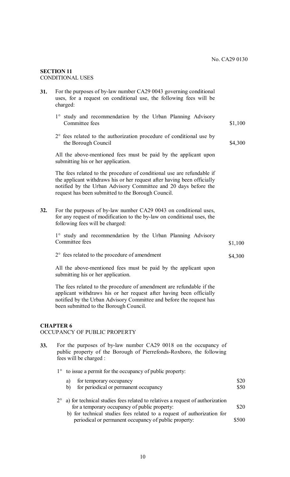### **SECTION 11** CONDITIONAL USES

| 31. | For the purposes of by-law number CA29 0043 governing conditional<br>uses, for a request on conditional use, the following fees will be<br>charged:                                                                                                                        |         |
|-----|----------------------------------------------------------------------------------------------------------------------------------------------------------------------------------------------------------------------------------------------------------------------------|---------|
|     | 1° study and recommendation by the Urban Planning Advisory<br>Committee fees                                                                                                                                                                                               | \$1,100 |
|     | $2^{\circ}$ fees related to the authorization procedure of conditional use by<br>the Borough Council                                                                                                                                                                       | \$4,300 |
|     | All the above-mentioned fees must be paid by the applicant upon<br>submitting his or her application.                                                                                                                                                                      |         |
|     | The fees related to the procedure of conditional use are refundable if<br>the applicant withdraws his or her request after having been officially<br>notified by the Urban Advisory Committee and 20 days before the<br>request has been submitted to the Borough Council. |         |
| 32. | For the purposes of by-law number CA29 0043 on conditional uses,<br>for any request of modification to the by-law on conditional uses, the<br>following fees will be charged:                                                                                              |         |
|     | 1° study and recommendation by the Urban Planning Advisory<br>Committee fees                                                                                                                                                                                               | \$1,100 |
|     | $2^{\circ}$ fees related to the procedure of amendment                                                                                                                                                                                                                     | \$4,300 |
|     | All the above-mentioned fees must be paid by the applicant upon<br>submitting his or her application.                                                                                                                                                                      |         |
|     | The fees related to the procedure of amendment are refundable if the<br>applicant withdraws his or her request after having been officially<br>notified by the Urban Advisory Committee and before the request has<br>been submitted to the Borough Council.               |         |

# **CHAPTER 6**

# OCCUPANCY OF PUBLIC PROPERTY

**33.** For the purposes of by-law number CA29 0018 on the occupancy of public property of the Borough of Pierrefonds-Roxboro, the following fees will be charged :

|  |  |  |  | 1° to issue a permit for the occupancy of public property: |
|--|--|--|--|------------------------------------------------------------|
|--|--|--|--|------------------------------------------------------------|

| a)<br>b) | for temporary occupancy<br>for periodical or permanent occupancy                                                                           | \$20<br>\$50 |
|----------|--------------------------------------------------------------------------------------------------------------------------------------------|--------------|
|          | $2^{\circ}$ a) for technical studies fees related to relatives a request of authorization<br>for a temporary occupancy of public property: | \$20         |
|          | b) for technical studies fees related to a request of authorization for<br>periodical or permanent occupancy of public property:           | \$500        |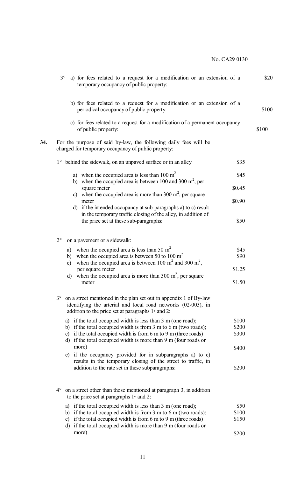|     | $3^{\circ}$ a) for fees related to a request for a modification or an extension of a<br>temporary occupancy of public property:                                                                                                                               | \$20  |
|-----|---------------------------------------------------------------------------------------------------------------------------------------------------------------------------------------------------------------------------------------------------------------|-------|
|     | b) for fees related to a request for a modification or an extension of a<br>periodical occupancy of public property:                                                                                                                                          | \$100 |
|     | c) for fees related to a request for a modification of a permanent occupancy<br>of public property:                                                                                                                                                           | \$100 |
| 34. | For the purpose of said by-law, the following daily fees will be<br>charged for temporary occupancy of public property:                                                                                                                                       |       |
|     | 1° behind the sidewalk, on an unpaved surface or in an alley<br>\$35                                                                                                                                                                                          |       |
|     | a) when the occupied area is less than $100 \text{ m}^2$<br>\$45                                                                                                                                                                                              |       |
|     | b) when the occupied area is between 100 and 300 $m^2$ , per<br>\$0.45<br>square meter                                                                                                                                                                        |       |
|     | c) when the occupied area is more than $300 \text{ m}^2$ , per square<br>\$0.90<br>meter                                                                                                                                                                      |       |
|     | if the intended occupancy at sub-paragraphs a) to c) result<br>d)<br>in the temporary traffic closing of the alley, in addition of<br>\$50<br>the price set at these sub-paragraphs:                                                                          |       |
|     |                                                                                                                                                                                                                                                               |       |
|     | $2^{\circ}$<br>on a pavement or a sidewalk:                                                                                                                                                                                                                   |       |
|     | when the occupied area is less than 50 $m2$<br>\$45<br>a)<br>when the occupied area is between 50 to 100 $m2$<br>\$90<br>b)<br>when the occupied area is between 100 $m^2$ and 300 $m^2$ ,<br>$\mathbf{c})$                                                   |       |
|     | \$1.25<br>per square meter                                                                                                                                                                                                                                    |       |
|     | when the occupied area is more than $300 \text{ m}^2$ , per square<br>$\mathbf{d}$<br>\$1.50<br>meter                                                                                                                                                         |       |
|     | on a street mentioned in the plan set out in appendix 1 of By-law<br>$3^\circ$<br>identifying the arterial and local road networks (02-003), in<br>addition to the price set at paragraphs $1 \circ$ and 2:                                                   |       |
|     | a) if the total occupied width is less than 3 m (one road);<br>\$100                                                                                                                                                                                          |       |
|     | b) if the total occupied width is from $3 \text{ m}$ to $6 \text{ m}$ (two roads);<br>\$200<br>c) if the total occupied width is from $6 \text{ m}$ to $9 \text{ m}$ (three roads)<br>\$300<br>d) if the total occupied width is more than 9 m (four roads or |       |
|     | more)<br>\$400                                                                                                                                                                                                                                                |       |
|     | e) if the occupancy provided for in subparagraphs a) to c)<br>results in the temporary closing of the street to traffic, in                                                                                                                                   |       |
|     | addition to the rate set in these subparagraphs:<br>\$200                                                                                                                                                                                                     |       |
|     | on a street other than those mentioned at paragraph 3, in addition<br>$4^{\circ}$<br>to the price set at paragraphs $1 \circ$ and 2:                                                                                                                          |       |
|     | a) if the total occupied width is less than 3 m (one road);<br>\$50                                                                                                                                                                                           |       |
|     | b) if the total occupied width is from 3 m to 6 m (two roads);<br>\$100<br>c) if the total occupied width is from $6 \text{ m}$ to $9 \text{ m}$ (three roads)<br>\$150<br>d) if the total occupied width is more than 9 m (four roads or                     |       |
|     | more)<br>\$200                                                                                                                                                                                                                                                |       |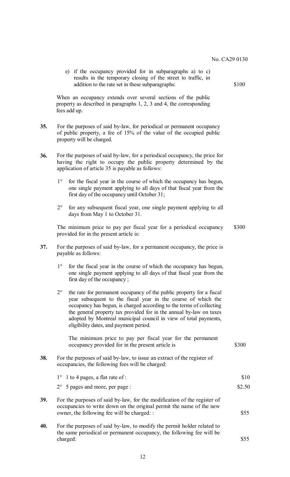e) if the occupancy provided for in subparagraphs a) to c) results in the temporary closing of the street to traffic, in addition to the rate set in these subparagraphs:  $$100$ 

When an occupancy extends over several sections of the public property as described in paragraphs 1, 2, 3 and 4, the corresponding fees add up.

- **35.** For the purposes of said by-law, for periodical or permanent occupancy of public property, a fee of 15% of the value of the occupied public property will be charged.
- **36.** For the purposes of said by-law, for a periodical occupancy, the price for having the right to occupy the public property determined by the application of article 35 is payable as follows:
	- 1° for the fiscal year in the course of which the occupancy has begun, one single payment applying to all days of that fiscal year from the first day of the occupancy until October 31;
	- 2° for any subsequent fiscal year, one single payment applying to all days from May 1 to October 31.

The minimum price to pay per fiscal year for a periodical occupancy provided for in the present article is: \$300

- **37.** For the purposes of said by-law, for a permanent occupancy, the price is payable as follows:
	- 1° for the fiscal year in the course of which the occupancy has begun, one single payment applying to all days of that fiscal year from the first day of the occupancy ;
	- 2° the rate for permanent occupancy of the public property for a fiscal year subsequent to the fiscal year in the course of which the occupancy has begun, is charged according to the terms of collecting the general property tax provided for in the annual by-law on taxes adopted by Montreal municipal council in view of total payments, eligibility dates, and payment period.

The minimum price to pay per fiscal year for the permanent occupancy provided for in the present article is  $$300$ **38.** For the purposes of said by-law, to issue an extract of the register of occupancies, the following fees will be charged:  $1^\circ$  1 to 4 pages, a flat rate of :  $$10$  $2^{\circ}$  5 pages and more, per page : \$2.50

- **39.** For the purposes of said by-law, for the modification of the register of occupancies to write down on the original permit the name of the new owner, the following fee will be charged: :  $$55$ **40.** For the purposes of said by-law, to modify the permit holder related to
	- the same periodical or permanent occupancy, the following fee will be charged: \$55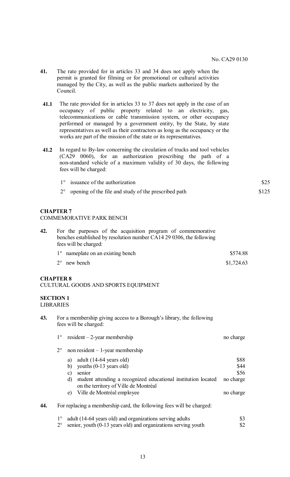- **41.** The rate provided for in articles 33 and 34 does not apply when the permit is granted for filming or for promotional or cultural activities managed by the City, as well as the public markets authorized by the Council.
- **41.1** The rate provided for in articles 33 to 37 does not apply in the case of an occupancy of public property related to an electricity, gas, telecommunications or cable transmission system, or other occupancy performed or managed by a government entity, by the State, by state representatives as well as their contractors as long as the occupancy or the works are part of the mission of the state or its representatives.
- **41.2** In regard to By-law concerning the circulation of trucks and tool vehicles (CA29 0060), for an authorization prescribing the path of a non-standard vehicle of a maximum validity of 30 days, the following fees will be charged:

| $1^\circ$ issuance of the authorization                          | \$25  |
|------------------------------------------------------------------|-------|
| $2^{\circ}$ opening of the file and study of the prescribed path | \$125 |

# **CHAPTER 7**

#### COMMEMORATIVE PARK BENCH

| 42. | For the purposes of the acquisition program of commemorative<br>benches established by resolution number CA14 29 0306, the following<br>fees will be charged: |            |
|-----|---------------------------------------------------------------------------------------------------------------------------------------------------------------|------------|
|     | 1° nameplate on an existing bench                                                                                                                             | \$574.88   |
|     | $2^{\circ}$ new bench                                                                                                                                         | \$1,724.63 |

### **CHAPTER 8**

#### CULTURAL GOODS AND SPORTS EQUIPMENT

### **SECTION 1**  LIBRARIES

**43.** For a membership giving access to a Borough's library, the following fees will be charged:

|     |             | $1^{\circ}$ resident – 2-year membership                                                                      | no charge |
|-----|-------------|---------------------------------------------------------------------------------------------------------------|-----------|
|     | $2^{\circ}$ | $non resident - 1-year membership$                                                                            |           |
|     |             | adult (14-64 years old)<br>a)                                                                                 | \$88      |
|     |             | youths (0-13 years old)<br>b)                                                                                 | \$44      |
|     |             | senior<br>C)                                                                                                  | \$56      |
|     |             | student attending a recognized educational institution located<br>d)<br>on the territory of Ville de Montréal | no charge |
|     |             | Ville de Montréal employee<br>e)                                                                              | no charge |
| 44. |             | For replacing a membership card, the following fees will be charged:                                          |           |
|     |             | adult (14-64 years old) and organizations serving adults                                                      | ¢?        |

adult (14-64 years old) and organizations serving adults  $$3$  senior, vouth (0-13 years old) and organizations serving vouth  $$2$  $2^{\circ}$  senior, youth (0-13 years old) and organizations serving youth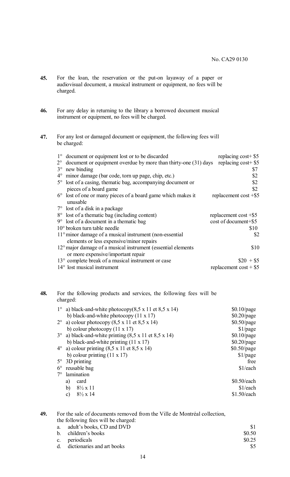- **45.** For the loan, the reservation or the put-on layaway of a paper or audiovisual document, a musical instrument or equipment, no fees will be charged.
- **46.** For any delay in returning to the library a borrowed document musical instrument or equipment, no fees will be charged.

# **47.** For any lost or damaged document or equipment, the following fees will be charged:

|             | 1° document or equipment lost or to be discarded                         | replacing $cost+$ \$5              |
|-------------|--------------------------------------------------------------------------|------------------------------------|
| $2^{\circ}$ | document or equipment overdue by more than thirty-one (31) days          | replacing cost + $$5$              |
| $3^{\circ}$ | new binding                                                              | \$7                                |
|             | 4° minor damage (bar code, torn up page, chip, etc.)                     | \$2                                |
|             | 5° lost of a casing, thematic bag, accompanying document or              | \$2                                |
|             | pieces of a board game                                                   | \$2                                |
|             | 6° lost of one or many pieces of a board game which makes it<br>unusable | replacement cost $+$ \$5           |
|             | 7° lost of a disk in a package                                           |                                    |
|             | 8° lost of a thematic bag (including content)                            | replacement cost $+$ \$5           |
|             | $9^{\circ}$ lost of a document in a thematic bag                         | cost of document+\$5               |
|             | $10^{\circ}$ broken turn table needle                                    | \$10                               |
|             | 11° minor damage of a musical instrument (non-essential                  | \$2                                |
|             | elements or less expensive/minor repairs                                 |                                    |
|             | 12° major damage of a musical instrument (essential elements             | \$10                               |
|             | or more expensive/important repair                                       |                                    |
|             | 13° complete break of a musical instrument or case                       | $\$20 + \$5$                       |
|             | 14° lost musical instrument                                              | replacement $\cos t + \frac{6}{3}$ |

# **48.** For the following products and services, the following fees will be charged:

|             | a) black-and-white photocopy(8,5 x 11 et 8,5 x 14)             | $$0.10$ /page |
|-------------|----------------------------------------------------------------|---------------|
|             | b) black-and-white photocopy $(11 \times 17)$                  | $$0.20$ /page |
|             | $2^{\circ}$ a) colour photocopy (8,5 x 11 et 8,5 x 14)         | $$0.50$ /page |
|             | b) colour photocopy $(11 \times 17)$                           | $$1$ /page    |
|             | $3^{\circ}$ a) black-and-white printing (8,5 x 11 et 8,5 x 14) | $$0.10$ /page |
|             | b) black-and-white printing $(11 \times 17)$                   | $$0.20$ /page |
|             | $4^{\circ}$ a) colour printing (8,5 x 11 et 8,5 x 14)          | $$0.50$ /page |
|             | b) colour printing $(11 \times 17)$                            | \$1/page      |
| $5^{\circ}$ | 3D printing                                                    | free          |
| $6^{\circ}$ | reusable bag                                                   | \$1/each      |
| 7°          | lamination                                                     |               |
|             | card<br>a)                                                     | $$0.50$ /each |
|             | b)<br>$8\frac{1}{2} \times 11$                                 | \$1/each      |
|             | $8\frac{1}{2} \times 14$<br>c)                                 | $$1.50$ /each |

**49.** For the sale of documents removed from the Ville de Montréal collection, the following fees will be charged:

| a. adult's books, CD and DVD  |        |
|-------------------------------|--------|
| b. children's books           | \$0.50 |
| c. periodicals                | \$0.25 |
| d. dictionaries and art books |        |
|                               |        |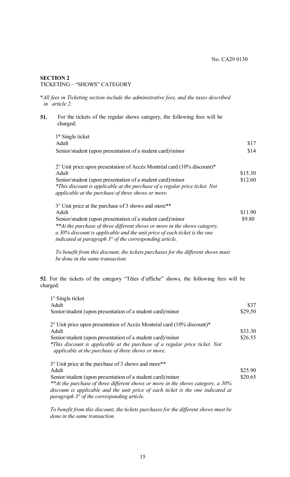## **SECTION 2**  TICKETING – "SHOWS" CATEGORY

\**All fees in Ticketing section include the administrative fees, and the taxes described in article 2.*

**51.** For the tickets of the regular shows category, the following fees will be charged:

| 1° Single ticket                                                                                                                  |         |
|-----------------------------------------------------------------------------------------------------------------------------------|---------|
| Adult                                                                                                                             | \$17    |
| Senior/student (upon presentation of a student card)/minor                                                                        | \$14    |
| 2° Unit price upon presentation of Accès Montréal card (10% discount)*                                                            |         |
| Adult                                                                                                                             | \$15.30 |
| Senior/student (upon presentation of a student card)/minor                                                                        | \$12.60 |
| *This discount is applicable at the purchase of a regular price ticket. Not<br>applicable at the purchase of three shows or more. |         |
| 3° Unit price at the purchase of 3 shows and more**                                                                               |         |
| Adult                                                                                                                             | \$11.90 |
| Senior/student (upon presentation of a student card)/minor                                                                        | \$9.80  |
| **At the purchase of three different shows or more in the shows category,                                                         |         |
| a 30% discount is applicable and the unit price of each ticket is the one                                                         |         |

*indicated at paragraph 3° of the corresponding article.*

*To benefit from this discount, the tickets purchases for the different shows must be done in the same transaction.* 

**52**. For the tickets of the category "Têtes d'affiche" shows, the following fees will be charged:

| $1^\circ$ Single ticket<br>Adult<br>Senior/student (upon presentation of a student card)/minor                                          | \$37<br>\$29,50 |
|-----------------------------------------------------------------------------------------------------------------------------------------|-----------------|
| 2° Unit price upon presentation of Accès Montréal card (10% discount)*                                                                  |                 |
| Adult                                                                                                                                   | \$33.30         |
| Senior/student (upon presentation of a student card)/minor                                                                              | \$26.55         |
| *This discount is applicable at the purchase of a regular price ticket. Not<br>applicable at the purchase of three shows or more.       |                 |
| 3° Unit price at the purchase of 3 shows and more**                                                                                     |                 |
| Adult                                                                                                                                   | \$25.90         |
| Senior/student (upon presentation of a student card)/minor                                                                              | \$20.65         |
| **At the purchase of three different shows or more in the shows category, a 30%                                                         |                 |
| discount is applicable and the unit price of each ticket is the one indicated at<br>paragraph $3^{\circ}$ of the corresponding article. |                 |

*To benefit from this discount, the tickets purchases for the different shows must be done in the same transaction.*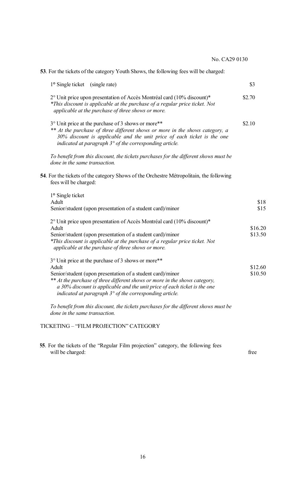**53**. For the tickets of the category Youth Shows, the following fees will be charged:

| 1° Single ticket (single rate)                                                                                                                                                                                                                                                                                                                         | \$3                |
|--------------------------------------------------------------------------------------------------------------------------------------------------------------------------------------------------------------------------------------------------------------------------------------------------------------------------------------------------------|--------------------|
| 2° Unit price upon presentation of Accès Montréal card (10% discount)*<br>*This discount is applicable at the purchase of a regular price ticket. Not<br>applicable at the purchase of three shows or more.                                                                                                                                            | \$2.70             |
| 3° Unit price at the purchase of 3 shows or more**<br>** At the purchase of three different shows or more in the shows category, a<br>30% discount is applicable and the unit price of each ticket is the one<br>indicated at paragraph $3^\circ$ of the corresponding article.                                                                        | \$2.10             |
| To benefit from this discount, the tickets purchases for the different shows must be<br>done in the same transaction.                                                                                                                                                                                                                                  |                    |
| 54. For the tickets of the category Shows of the Orchestre Métropolitain, the following<br>fees will be charged:                                                                                                                                                                                                                                       |                    |
| $1°$ Single ticket<br>Adult                                                                                                                                                                                                                                                                                                                            | \$18               |
| Senior/student (upon presentation of a student card)/minor                                                                                                                                                                                                                                                                                             | \$15               |
| 2° Unit price upon presentation of Accès Montréal card (10% discount)*<br>Adult<br>Senior/student (upon presentation of a student card)/minor<br>*This discount is applicable at the purchase of a regular price ticket. Not<br>applicable at the purchase of three shows or more.                                                                     | \$16.20<br>\$13.50 |
| 3° Unit price at the purchase of 3 shows or more**<br>Adult<br>Senior/student (upon presentation of a student card)/minor<br>** At the purchase of three different shows or more in the shows category,<br>a 30% discount is applicable and the unit price of each ticket is the one<br>indicated at paragraph $3^\circ$ of the corresponding article. | \$12.60<br>\$10.50 |
| To benefit from this discount, the tickets purchases for the different shows must be<br>done in the same transaction.                                                                                                                                                                                                                                  |                    |
| TICKETING – "FILM PROJECTION" CATEGORY                                                                                                                                                                                                                                                                                                                 |                    |

**55**. For the tickets of the "Regular Film projection" category, the following fees will be charged: free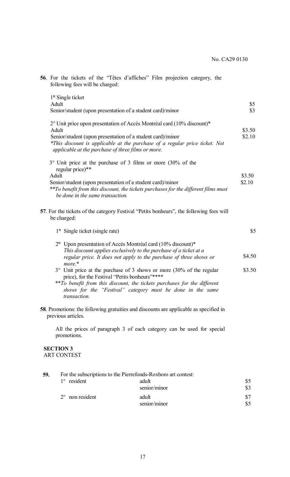|     | 56. For the tickets of the "Têtes d'affiches" Film projection category, the<br>following fees will be charged:                                                                                                                                                                              |                   |
|-----|---------------------------------------------------------------------------------------------------------------------------------------------------------------------------------------------------------------------------------------------------------------------------------------------|-------------------|
|     | 1° Single ticket<br>Adult<br>Senior/student (upon presentation of a student card)/minor                                                                                                                                                                                                     | \$5<br>$\sqrt{3}$ |
|     | 2° Unit price upon presentation of Accès Montréal card (10% discount)*<br>Adult<br>Senior/student (upon presentation of a student card)/minor<br>*This discount is applicable at the purchase of a regular price ticket. Not<br>applicable at the purchase of three films or more.          | \$3.50<br>\$2.10  |
|     | $3^{\circ}$ Unit price at the purchase of 3 films or more (30% of the<br>regular price)**<br>Adult<br>Senior/student (upon presentation of a student card)/minor<br>**To benefit from this discount, the tickets purchases for the different films must<br>be done in the same transaction. | \$3.50<br>\$2.10  |
|     | 57. For the tickets of the category Festival "Petits bonheurs", the following fees will<br>be charged:                                                                                                                                                                                      |                   |
|     | 1° Single ticket (single rate)                                                                                                                                                                                                                                                              | \$5               |
|     | 2° Upon presentation of Accès Montréal card (10% discount)*<br>This discount applies exclusively to the purchase of a ticket at a<br>regular price. It does not apply to the purchase of three shows or<br>more.*<br>3° Unit price at the purchase of 3 shows or more (30% of the regular   | \$4.50<br>\$3.50  |
|     | price), for the Festival "Petits bonheurs"*****<br>**To benefit from this discount, the tickets purchases for the different<br>shows for the "Festival" category must be done in the same<br>transaction.                                                                                   |                   |
|     | <b>58</b> . Promotions: the following gratuities and discounts are applicable as specified in<br>previous articles.                                                                                                                                                                         |                   |
|     | All the prices of paragraph 3 of each category can be used for special<br>promotions.                                                                                                                                                                                                       |                   |
|     | <b>SECTION 3</b><br><b>ART CONTEST</b>                                                                                                                                                                                                                                                      |                   |
| 59. | For the subscriptions to the Pierrefonds-Roxboro art contest:<br>$1^\circ$ resident<br>adult                                                                                                                                                                                                | \$5               |

|                          | senior/minor | \$3 |
|--------------------------|--------------|-----|
| $2^{\circ}$ non resident | adult        | \$7 |
|                          | senior/minor | \$5 |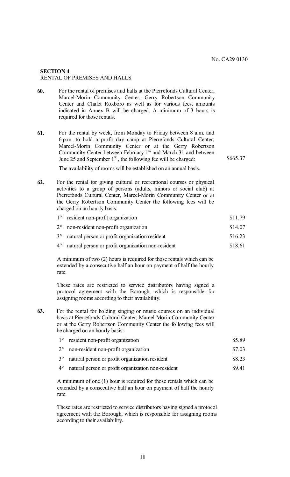### **SECTION 4** RENTAL OF PREMISES AND HALLS

- **60.** For the rental of premises and halls at the Pierrefonds Cultural Center, Marcel-Morin Community Center, Gerry Robertson Community Center and Chalet Roxboro as well as for various fees, amounts indicated in Annex B will be charged. A minimum of 3 hours is required for those rentals.
- **61.** For the rental by week, from Monday to Friday between 8 a.m. and 6 p.m. to hold a profit day camp at Pierrefonds Cultural Center, Marcel-Morin Community Center or at the Gerry Robertson Community Center between February  $1<sup>st</sup>$  and March 31 and between June 25 and September  $1<sup>st</sup>$ , the following fee will be charged: \$665.37

The availability of rooms will be established on an annual basis.

- **62.** For the rental for giving cultural or recreational courses or physical activities to a group of persons (adults, minors or social club) at Pierrefonds Cultural Center, Marcel-Morin Community Center or at the Gerry Robertson Community Center the following fees will be charged on an hourly basis:
	- 1° resident non-profit organization \$11.79 2° non-resident non-profit organization \$14.07
	- 3° natural person or profit organization resident \$16.23
	- 4° natural person or profit organization non-resident \$18.61

A minimum of two (2) hours is required for those rentals which can be extended by a consecutive half an hour on payment of half the hourly rate.

These rates are restricted to service distributors having signed a protocol agreement with the Borough, which is responsible for assigning rooms according to their availability.

- **63.** For the rental for holding singing or music courses on an individual basis at Pierrefonds Cultural Center, Marcel-Morin Community Center or at the Gerry Robertson Community Center the following fees will be charged on an hourly basis:
	- 1° resident non-profit organization \$5.89 2° non-resident non-profit organization \$7.03 3° natural person or profit organization resident \$8.23 4° natural person or profit organization non-resident \$9.41

A minimum of one (1) hour is required for those rentals which can be extended by a consecutive half an hour on payment of half the hourly rate.

These rates are restricted to service distributors having signed a protocol agreement with the Borough, which is responsible for assigning rooms according to their availability.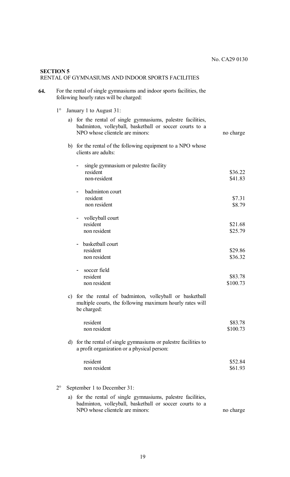# **SECTION 5** RENTAL OF GYMNASIUMS AND INDOOR SPORTS FACILITIES

| 64. | For the rental of single gymnasiums and indoor sports facilities, the |
|-----|-----------------------------------------------------------------------|
|     | following hourly rates will be charged:                               |

1° January 1 to August 31:

|             |               | a) for the rental of single gymnasiums, palestre facilities,<br>badminton, volleyball, basketball or soccer courts to a<br>NPO whose clientele are minors: | no charge |
|-------------|---------------|------------------------------------------------------------------------------------------------------------------------------------------------------------|-----------|
|             |               | b) for the rental of the following equipment to a NPO whose<br>clients are adults:                                                                         |           |
|             |               | single gymnasium or palestre facility                                                                                                                      |           |
|             |               | resident                                                                                                                                                   | \$36.22   |
|             |               | non-resident                                                                                                                                               | \$41.83   |
|             |               | badminton court                                                                                                                                            |           |
|             |               | resident                                                                                                                                                   | \$7.31    |
|             |               | non resident                                                                                                                                               | \$8.79    |
|             |               | volleyball court                                                                                                                                           |           |
|             |               | resident                                                                                                                                                   | \$21.68   |
|             |               | non resident                                                                                                                                               | \$25.79   |
|             |               | - basketball court                                                                                                                                         |           |
|             |               | resident                                                                                                                                                   | \$29.86   |
|             |               | non resident                                                                                                                                               | \$36.32   |
|             |               | soccer field                                                                                                                                               |           |
|             |               | resident                                                                                                                                                   | \$83.78   |
|             |               | non resident                                                                                                                                               | \$100.73  |
|             | $\mathbf{c})$ | for the rental of badminton, volleyball or basketball<br>multiple courts, the following maximum hourly rates will<br>be charged:                           |           |
|             |               | resident                                                                                                                                                   | \$83.78   |
|             |               | non resident                                                                                                                                               | \$100.73  |
|             |               | d) for the rental of single gymnasiums or palestre facilities to<br>a profit organization or a physical person:                                            |           |
|             |               | resident                                                                                                                                                   | \$52.84   |
|             |               | non resident                                                                                                                                               | \$61.93   |
| $2^{\circ}$ |               | September 1 to December 31:                                                                                                                                |           |
|             | a)            | for the rental of single gymnasiums, palestre facilities,                                                                                                  |           |
|             |               | badminton, volleyball, basketball or soccer courts to a<br>NPO whose clientele are minors:                                                                 |           |
|             |               |                                                                                                                                                            | no charge |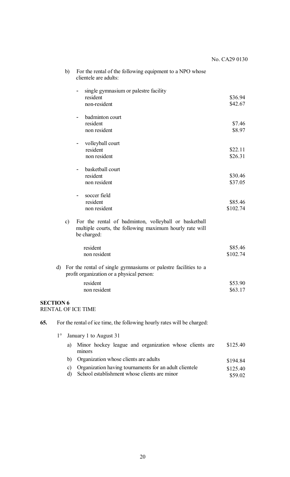#### b) For the rental of the following equipment to a NPO whose clientele are adults: - single gymnasium or palestre facility resident non-resident - badminton court resident non resident - volleyball court resident non resident - basketball court resident non resident soccer field resident non resident \$36.94 \$42.67 \$7.46 \$8.97 \$22.11 \$26.31 \$30.46 \$37.05 \$85.46 \$102.74 c) For the rental of badminton, volleyball or basketball multiple courts, the following maximum hourly rate will be charged: resident non resident \$85.46 \$102.74 d) For the rental of single gymnasiums or palestre facilities to a profit organization or a physical person: resident non resident \$53.90 \$63.17 **SECTION 6** RENTAL OF ICE TIME **65.** For the rental of ice time, the following hourly rates will be charged:

- 1° January 1 to August 31
	- a) Minor hockey league and organization whose clients are minors b) Organization whose clients are adults c) Organization having tournaments for an adult clientele \$125.40 \$194.84 \$125.40
	- d) School establishment whose clients are minor \$59.02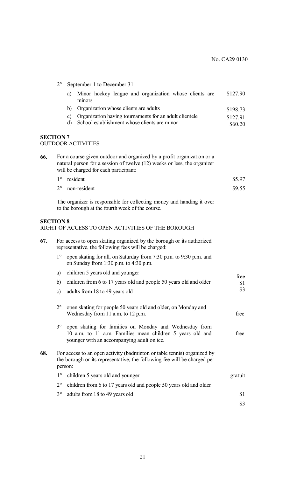|                  | $2^{\circ}$      |          | September 1 to December 31                                                                                                                                                                  |             |
|------------------|------------------|----------|---------------------------------------------------------------------------------------------------------------------------------------------------------------------------------------------|-------------|
|                  |                  | a)       | Minor hockey league and organization whose clients are<br>minors                                                                                                                            | \$127.90    |
|                  |                  | b)       | Organization whose clients are adults                                                                                                                                                       | \$198.73    |
|                  |                  | c)<br>d) | Organization having tournaments for an adult clientele<br>School establishment whose clients are minor                                                                                      | \$127.91    |
|                  |                  |          |                                                                                                                                                                                             | \$60.20     |
| <b>SECTION 7</b> |                  |          | <b>OUTDOOR ACTIVITIES</b>                                                                                                                                                                   |             |
| 66.              |                  |          | For a course given outdoor and organized by a profit organization or a<br>natural person for a session of twelve (12) weeks or less, the organizer<br>will be charged for each participant: |             |
|                  | $1^{\circ}$      |          | resident                                                                                                                                                                                    | \$5.97      |
|                  | $2^{\circ}$      |          | non-resident                                                                                                                                                                                | \$9.55      |
|                  |                  |          | The organizer is responsible for collecting money and handing it over<br>to the borough at the fourth week of the course.                                                                   |             |
|                  | <b>SECTION 8</b> |          | RIGHT OF ACCESS TO OPEN ACTIVITIES OF THE BOROUGH                                                                                                                                           |             |
| 67.              |                  |          | For access to open skating organized by the borough or its authorized<br>representative, the following fees will be charged:                                                                |             |
|                  | $1^{\circ}$      |          | open skating for all, on Saturday from 7:30 p.m. to 9:30 p.m. and<br>on Sunday from $1:30$ p.m. to $4:30$ p.m.                                                                              |             |
|                  | a)               |          | children 5 years old and younger                                                                                                                                                            |             |
|                  | b)               |          | children from 6 to 17 years old and people 50 years old and older                                                                                                                           | free<br>\$1 |
|                  |                  |          | c) adults from 18 to 49 years old                                                                                                                                                           | \$3         |
|                  | $2^{\circ}$      |          | open skating for people 50 years old and older, on Monday and<br>Wednesday from 11 a.m. to 12 p.m.                                                                                          | free        |
|                  | $3^\circ$        |          | open skating for families on Monday and Wednesday from<br>10 a.m. to 11 a.m. Families mean children 5 years old and<br>younger with an accompanying adult on ice.                           | free        |
| 68.              |                  | person:  | For access to an open activity (badminton or table tennis) organized by<br>the borough or its representative, the following fee will be charged per                                         |             |
|                  | $1^{\circ}$      |          | children 5 years old and younger                                                                                                                                                            | gratuit     |
|                  | $2^{\circ}$      |          | children from 6 to 17 years old and people 50 years old and older                                                                                                                           |             |
|                  | $3^\circ$        |          | adults from 18 to 49 years old                                                                                                                                                              | \$1         |
|                  |                  |          |                                                                                                                                                                                             | \$3         |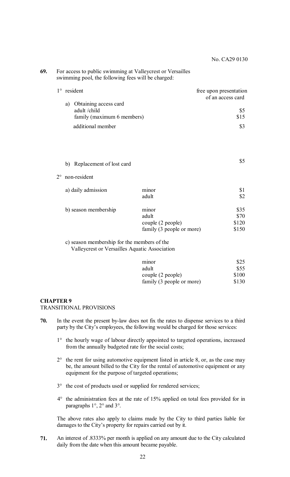\$5

| 69. | For access to public swimming at Valleycrest or Versailles |
|-----|------------------------------------------------------------|
|     | swimming pool, the following fees will be charged:         |

| $1^\circ$ resident                                                    | free upon presentation<br>of an access card |
|-----------------------------------------------------------------------|---------------------------------------------|
| a) Obtaining access card<br>adult/child<br>family (maximum 6 members) | \$5<br>\$15                                 |
| additional member                                                     | \$3                                         |

#### b) Replacement of lost card

### 2° non-resident

| a) daily admission   | minor                     |       |
|----------------------|---------------------------|-------|
|                      | adult                     | \$2   |
| b) season membership | minor                     | \$35  |
|                      | adult                     | \$70  |
|                      | couple (2 people)         | \$120 |
|                      | family (3 people or more) | \$150 |

c) season membership for the members of the

Valleycrest or Versailles Aquatic Association

| minor                     | \$25  |
|---------------------------|-------|
| adult                     | \$55  |
| couple (2 people)         | \$100 |
| family (3 people or more) | \$130 |

#### **CHAPTER 9**

TRANSITIONAL PROVISIONS

- **70.** In the event the present by-law does not fix the rates to dispense services to a third party by the City's employees, the following would be charged for those services:
	- 1° the hourly wage of labour directly appointed to targeted operations, increased from the annually budgeted rate for the social costs;
	- $2^{\circ}$  the rent for using automotive equipment listed in article 8, or, as the case may be, the amount billed to the City for the rental of automotive equipment or any equipment for the purpose of targeted operations;
	- 3° the cost of products used or supplied for rendered services;
	- 4° the administration fees at the rate of 15% applied on total fees provided for in paragraphs 1°, 2° and 3°.

The above rates also apply to claims made by the City to third parties liable for damages to the City's property for repairs carried out by it.

**71.** An interest of .8333% per month is applied on any amount due to the City calculated daily from the date when this amount became payable.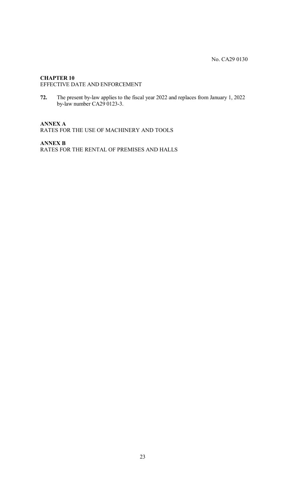# **CHAPTER 10**

EFFECTIVE DATE AND ENFORCEMENT

**72.** The present by-law applies to the fiscal year 2022 and replaces from January 1, 2022 by-law number CA29 0123-3.

# **ANNEX A**

RATES FOR THE USE OF MACHINERY AND TOOLS

**ANNEX B** RATES FOR THE RENTAL OF PREMISES AND HALLS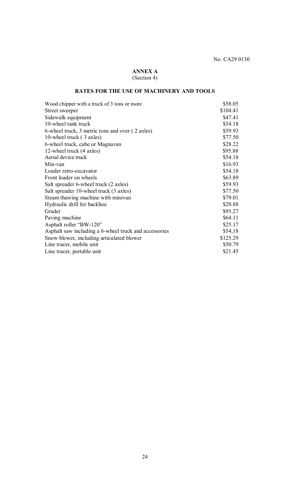# **ANNEX A** (Section 4)

# **RATES FOR THE USE OF MACHINERY AND TOOLS**

| Wood chipper with a truck of 3 tons or more           | \$58.05  |
|-------------------------------------------------------|----------|
| Street sweeper                                        | \$104.41 |
| Sidewalk equipment                                    | \$47.41  |
| 10-wheel tank truck                                   | \$54.18  |
| 6-wheel truck, 3 metric tons and over (2 axles)       | \$59.93  |
| 10-wheel truck (3 axles)                              | \$77.50  |
| 6-wheel truck, cube or Magnavan                       | \$28.22  |
| 12-wheel truck (4 axles)                              | \$95.88  |
| Aerial device truck                                   | \$54.18  |
| Min-van                                               | \$16.93  |
| Loader retro-excavator                                | \$54.18  |
| Front loader on wheels                                | \$63.89  |
| Salt spreader 6-wheel truck (2 axles)                 | \$59.93  |
| Salt spreader 10-wheel truck (3 axles)                | \$77.50  |
| Steam thawing machine with minivan                    | \$79.01  |
| Hydraulic drill for backhoe                           | \$20.88  |
| Grader                                                | \$95.27  |
| Paving machine                                        | \$64.11  |
| Asphalt roller "BW-120"                               | \$25.17  |
| Asphalt saw including a 6-wheel truck and accessories | \$54,18  |
| Snow blower, including articulated blower             | \$125.29 |
| Line tracer, mobile unit                              | \$50.79  |
| Line tracer, portable unit                            | \$21.45  |
|                                                       |          |